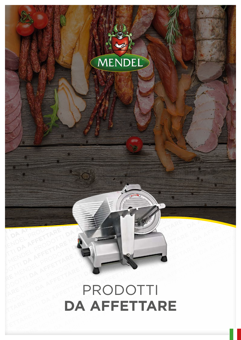## MENDEL PRODOTTI **DA AFFETTARE** MENDEL PRODOTTI **DA AFFETTARE** MENDEL PRODOTTI **DA AFFETTARE**  MENDEL PRODOTTI **DA AFFETTARE** MENDEL PRODOTTI **DA AFFETTARE** MENDEL PRODOTTI **DA AFFETTARE** MENDEL PRODOTTI **DA AFFETTARE** MENDEL PRODOTTI **DA AFFETTARE**  MENDEL PRODOTTI **DA AFFETTARE** MENDEL PRODOTTI **DA AFFETTARE** MENDEL PRODOTTI **DA AFFETTARE** MENDEL PRODOTTI **DA AFFETTARE** MENDEL PRODOTTI **DA AFFETTARE**  MENDEL PRODOTTI **DA AFFETTARE** MENDEL PRODOTTI **DA AFFETTARE** MENDEL PRODOTTI **DA AFFETTARE** MENDEL PRODOTTI **DA AFFETTARE** MENDEL PRODOTTI **DA AFFETTARE**  MENDEL PRODOTTI **DA AFFETTARE** MENDEL PRODOTTI **DA AFFETTARE** MENDEL PRODOTTI **DA AFFETTARE** MENDEL PRODOTTI **DA AFFETTARE** MENDEL PRODOTTI **DA AFFETTARE**  MENDEL PRODOTTI **DA AFFETTARE DA AFFETTARE** MENDEL PRODOTTI **DA AFFETTARE** MENDEL PRODOTTI **DA AFFETTARE**  MENDEL PRODOTTI **DA AFFETTARE DA AFFETTARE** MENDEL PRODOTTI **DA AFFETTARE** MENDEL PRODOTTI **DA AFFETTARE**  MENDEL PRODOTTI **DA AFFETTARE** MENDEL PRODOTTI<br>
DA AFFETTARE **DA AFFETTARE** MENDEL PRODOTTI **DA AFFETTARE** MENDEL PRODOTTI **DA AFFETTARE AFFETTARE** MENDEL PRODOTTI **DA AFFETTARE** MENDEL PRODOTTI **DA AFFETTARE** MEN

PRODOTTI **DA AFFETTARE**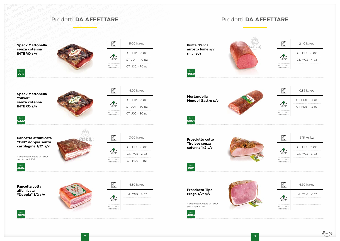

## Prodotti **DA AFFETTARE**

## Prodotti **DA AFFETTARE**